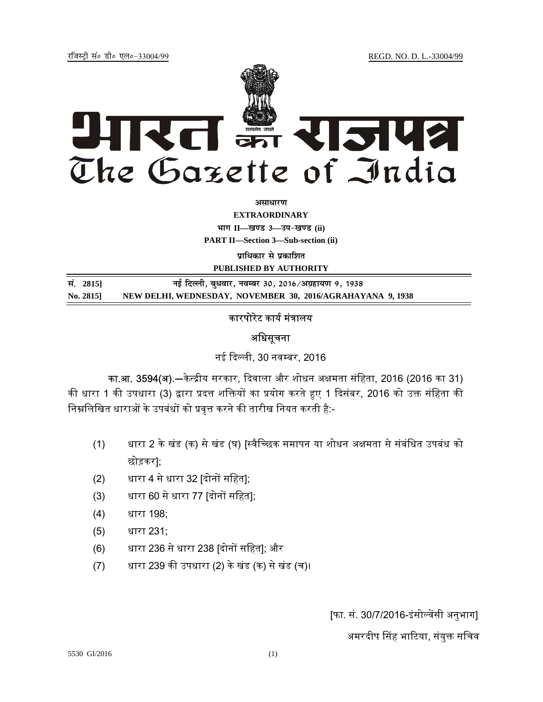jftLVªh laö Mhö ,yö&33004@99 REGD. NO. D. L.-33004/99



**vlk/kj.k**

**EXTRAORDINARY Hkkx II—[k.M 3—mi&[k.M (ii)**

**PART II—Section 3—Sub-section (ii)** 

**प्राधिकार से प्रकाशित** 

**PUBLISHED BY AUTHORITY**

<u>R</u>. 2815] बुंदिल्ली, बुधवार, नवम्बर 30, 2016/अग्रहायण 9, 1938 **No. 2815] NEW DELHI, WEDNESDAY, NOVEMBER 30, 2016/AGRAHAYANA 9, 1938**

## कारपोरेट कार्य मंत्रालय

## अधिसूचना

नई दिल्ली, 30 नवम्बर, 2016

**का.आ. 3594(अ)**.—केन्द्रीय सरकार, दिवाला और शोधन अक्षमता संहिता, 2016 (2016 का 31) की धारा 1 की उपधारा (3) द्वारा प्रदत्त शक्तियों का प्रयोग करते हुए 1 दिसंबर, 2016 को उक्त संहिता की निम्नलिखित धाराओं के उपबंधों को प्रवृत्त करने की तारीख नियत करती है:-

- (1) धारा 2 के खंड (क) से खंड (घ) [स्वैच्छिक समापन या शोधन अक्षमता से संबंधित उपबंध को छोड़कर];
- (2) धारा 4 से धारा 32 [दोनᲂ सिहत];
- (3) धारा 60 से धारा 77 [दोनों सहित];
- (4) धारा 198;
- (5) धारा 231;
- (6) धारा 236 से धारा 238 [दोनᲂ सिहत]; और
- (7) धारा 239 कᳱ उपधारा (2) के खंड (क) से खंड (च)।

[फा. सं. 30/7/2016-इंसो᭨वᱶसी अनुभाग]

अमरदीप सिंह भाटिया, संयुक्त सचिव